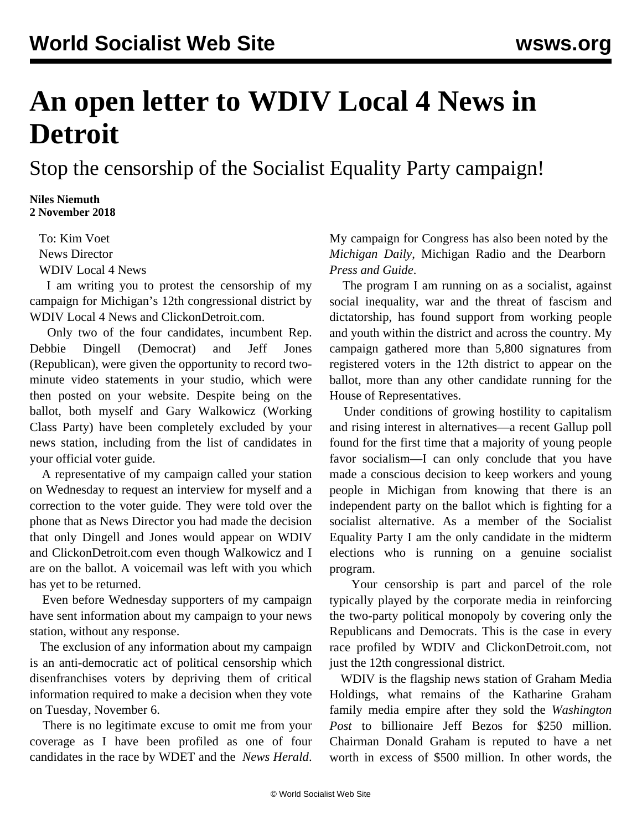## **An open letter to WDIV Local 4 News in Detroit**

Stop the censorship of the Socialist Equality Party campaign!

**Niles Niemuth 2 November 2018**

> To: Kim Voet News Director WDIV Local 4 News

 I am writing you to protest the censorship of my campaign for Michigan's 12th congressional district by WDIV Local 4 News and ClickonDetroit.com.

 Only two of the four candidates, incumbent Rep. Debbie Dingell (Democrat) and Jeff Jones (Republican), were given the opportunity to record twominute video statements in your studio, which were then posted on your [website.](https://www.clickondetroit.com/michigan-elections/michigan-election-2018-get-to-know-the-candidates-for-michigans-12th-us-house-district) Despite being on the ballot, both myself and Gary Walkowicz (Working Class Party) have been completely excluded by your news station, including from the [list](https://www.clickondetroit.com/michigan-elections/election-guide-list-of-2018-michigan-general-election-races) of candidates in your official voter guide.

 A representative of my campaign called your station on Wednesday to request an interview for myself and a correction to the voter guide. They were told over the phone that as News Director you had made the decision that only Dingell and Jones would appear on WDIV and ClickonDetroit.com even though Walkowicz and I are on the ballot. A voicemail was left with you which has yet to be returned.

 Even before Wednesday supporters of my campaign have sent information about my campaign to your news station, without any response.

 The exclusion of any information about my campaign is an anti-democratic act of political censorship which disenfranchises voters by depriving them of critical information required to make a decision when they vote on Tuesday, November 6.

 There is no legitimate excuse to omit me from your coverage as I have been profiled as one of four candidates in the race by [WDET](https://wdet.org/posts/2018/10/25/87449-the-race-for-michigans-12th-congressional-district/) and the *[News Herald](http://www.thenewsherald.com/news/state/dingell-to-face-three-challengers-for-u-s-house-seat/article_1b6bfd7c-8edd-5e49-8265-6feb327b23da.html?fbclid=IwAR09B6jE2N7ml9rr8pXy0YByr0xLCASyGcvgMXE1uhF1SwoQ63b4SdNheu0)*. My campaign for Congress has also been noted by the *[Michigan Daily](https://www.michigandaily.com/section/campus-life/socialism-21st-century)*, [Michigan Radio](http://www.michiganradio.org/term/niles-niemuth) and the Dearborn *[Press and Guide](http://www.pressandguide.com/news/socialist-equality-party-candidate-for-michigan-s-th-district-u/article_d814d4ba-bd04-11e8-8a4f-efa00dfd53d5.html)*.

 The program I am running on as a socialist, against social inequality, war and the threat of fascism and dictatorship, has found support from working people and youth within the district and across the country. My campaign gathered more than 5,800 signatures from registered voters in the 12th district to appear on the ballot, more than any other candidate running for the House of Representatives.

 Under conditions of growing hostility to capitalism and rising interest in alternatives—a recent Gallup [poll](/en/articles/2018/08/14/grow-a14.html) found for the first time that a majority of young people favor socialism—I can only conclude that you have made a conscious decision to keep workers and young people in Michigan from knowing that there is an independent party on the ballot which is fighting for a socialist alternative. As a member of the Socialist Equality Party I am the only candidate in the midterm elections who is running on a genuine socialist program.

 Your censorship is part and parcel of the role typically played by the corporate media in reinforcing the two-party political monopoly by covering only the Republicans and Democrats. This is the case in every race profiled by WDIV and ClickonDetroit.com, not just the 12th congressional district.

 WDIV is the flagship news station of Graham Media Holdings, what remains of the Katharine Graham family media empire after they sold the *Washington Post* to billionaire Jeff Bezos for \$250 million. Chairman Donald Graham is reputed to have a net worth in excess of \$500 million. In other words, the